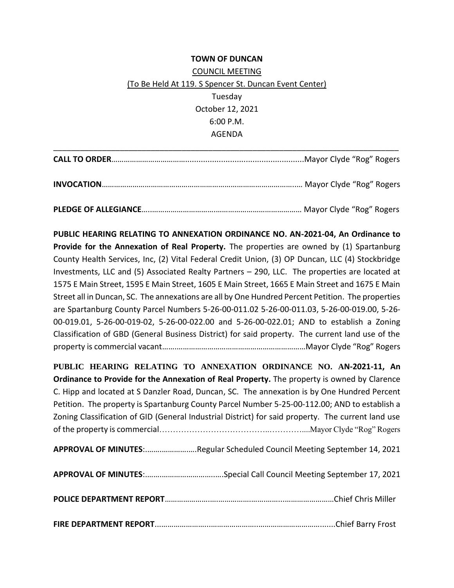## **TOWN OF DUNCAN** COUNCIL MEETING (To Be Held At 119. S Spencer St. Duncan Event Center) Tuesday October 12, 2021 6:00 P.M. AGENDA

**PUBLIC HEARING RELATING TO ANNEXATION ORDINANCE NO. AN-2021-04, An Ordinance to Provide for the Annexation of Real Property.** The properties are owned by (1) Spartanburg County Health Services, Inc, (2) Vital Federal Credit Union, (3) OP Duncan, LLC (4) Stockbridge Investments, LLC and (5) Associated Realty Partners – 290, LLC. The properties are located at 1575 E Main Street, 1595 E Main Street, 1605 E Main Street, 1665 E Main Street and 1675 E Main Street all in Duncan, SC. The annexations are all by One Hundred Percent Petition. The properties are Spartanburg County Parcel Numbers 5-26-00-011.02 5-26-00-011.03, 5-26-00-019.00, 5-26- 00-019.01, 5-26-00-019-02, 5-26-00-022.00 and 5-26-00-022.01; AND to establish a Zoning Classification of GBD (General Business District) for said property. The current land use of the property is commercial vacant…….………………………………………………………Mayor Clyde "Rog" Rogers

**PUBLIC HEARING RELATING TO ANNEXATION ORDINANCE NO. AN-2021-11, An Ordinance to Provide for the Annexation of Real Property.** The property is owned by Clarence C. Hipp and located at S Danzler Road, Duncan, SC. The annexation is by One Hundred Percent Petition. The property is Spartanburg County Parcel Number 5-25-00-112.00; AND to establish a Zoning Classification of GID (General Industrial District) for said property. The current land use of the property is commercial…………………………………..…………....Mayor Clyde "Rog" Rogers

**APPROVAL OF MINUTES**:.…….………….….Regular Scheduled Council Meeting September 14, 2021

|--|--|--|--|

|--|--|

**FIRE DEPARTMENT REPORT**...…………………...…………………..………………………….......Chief Barry Frost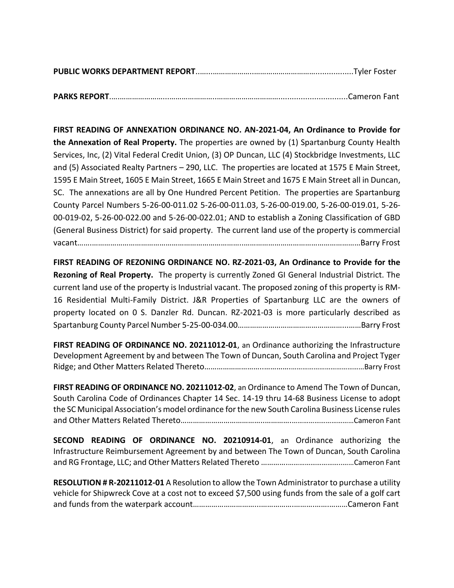|--|--|

**PARKS REPORT**.….…………………...…………………..…………………………...............................Cameron Fant

**FIRST READING OF ANNEXATION ORDINANCE NO. AN-2021-04, An Ordinance to Provide for the Annexation of Real Property.** The properties are owned by (1) Spartanburg County Health Services, Inc, (2) Vital Federal Credit Union, (3) OP Duncan, LLC (4) Stockbridge Investments, LLC and (5) Associated Realty Partners – 290, LLC. The properties are located at 1575 E Main Street, 1595 E Main Street, 1605 E Main Street, 1665 E Main Street and 1675 E Main Street all in Duncan, SC. The annexations are all by One Hundred Percent Petition. The properties are Spartanburg County Parcel Numbers 5-26-00-011.02 5-26-00-011.03, 5-26-00-019.00, 5-26-00-019.01, 5-26- 00-019-02, 5-26-00-022.00 and 5-26-00-022.01; AND to establish a Zoning Classification of GBD (General Business District) for said property. The current land use of the property is commercial vacant…….………………………………………………………………..…………………………………………………Barry Frost

**FIRST READING OF REZONING ORDINANCE NO. RZ-2021-03, An Ordinance to Provide for the Rezoning of Real Property.** The property is currently Zoned GI General Industrial District. The current land use of the property is Industrial vacant. The proposed zoning of this property is RM-16 Residential Multi-Family District. J&R Properties of Spartanburg LLC are the owners of property located on 0 S. Danzler Rd. Duncan. RZ-2021-03 is more particularly described as Spartanburg County Parcel Number 5-25-00-034.00……………………………………………...……Barry Frost

**FIRST READING OF ORDINANCE NO. 20211012-01**, an Ordinance authorizing the Infrastructure Development Agreement by and between The Town of Duncan, South Carolina and Project Tyger Ridge; and Other Matters Related Thereto………………………..………….…………………………………Barry Frost

**FIRST READING OF ORDINANCE NO. 20211012-02**, an Ordinance to Amend The Town of Duncan, South Carolina Code of Ordinances Chapter 14 Sec. 14-19 thru 14-68 Business License to adopt the SC Municipal Association's model ordinance for the new South Carolina Business License rules and Other Matters Related Thereto…………………………………..………….……………………………Cameron Fant

**SECOND READING OF ORDINANCE NO. 20210914-01**, an Ordinance authorizing the Infrastructure Reimbursement Agreement by and between The Town of Duncan, South Carolina and RG Frontage, LLC; and Other Matters Related Thereto ………….………………………..……Cameron Fant

**RESOLUTION # R-20211012-01** A Resolution to allow the Town Administrator to purchase a utility vehicle for Shipwreck Cove at a cost not to exceed \$7,500 using funds from the sale of a golf cart and funds from the waterpark account…………………………...…………….……….…….………Cameron Fant